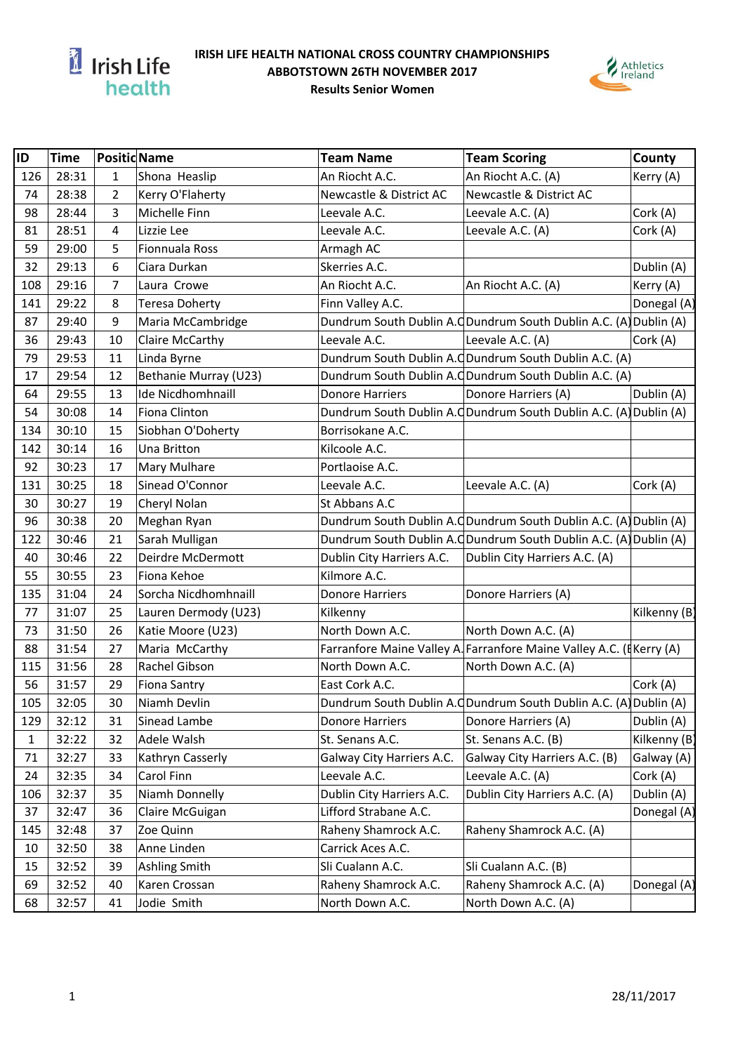

## **IRISH LIFE HEALTH NATIONAL CROSS COUNTRY CHAMPIONSHIPS ABBOTSTOWN 26TH NOVEMBER 2017 Results Senior Women**



| ID  | <b>Time</b> | <b>Positid Name</b> |                          | <b>Team Name</b>                                                    | <b>Team Scoring</b>                                               | County       |
|-----|-------------|---------------------|--------------------------|---------------------------------------------------------------------|-------------------------------------------------------------------|--------------|
| 126 | 28:31       | 1                   | Shona Heaslip            | An Riocht A.C.                                                      | An Riocht A.C. (A)                                                | Kerry (A)    |
| 74  | 28:38       | 2                   | Kerry O'Flaherty         | Newcastle & District AC                                             | Newcastle & District AC                                           |              |
| 98  | 28:44       | 3                   | Michelle Finn            | Leevale A.C.                                                        | Leevale A.C. (A)                                                  | Cork (A)     |
| 81  | 28:51       | 4                   | Lizzie Lee               | Leevale A.C.                                                        | Leevale A.C. (A)                                                  | Cork (A)     |
| 59  | 29:00       | 5                   | Fionnuala Ross           | Armagh AC                                                           |                                                                   |              |
| 32  | 29:13       | 6                   | Ciara Durkan             | Skerries A.C.                                                       |                                                                   | Dublin (A)   |
| 108 | 29:16       | 7                   | Laura Crowe              | An Riocht A.C.                                                      | An Riocht A.C. (A)                                                | Kerry (A)    |
| 141 | 29:22       | 8                   | <b>Teresa Doherty</b>    | Finn Valley A.C.                                                    |                                                                   | Donegal (A)  |
| 87  | 29:40       | 9                   | Maria McCambridge        | Dundrum South Dublin A.C Dundrum South Dublin A.C. (A) Dublin (A)   |                                                                   |              |
| 36  | 29:43       | 10                  | Claire McCarthy          | Leevale A.C.                                                        | Leevale A.C. (A)                                                  | Cork (A)     |
| 79  | 29:53       | 11                  | Linda Byrne              |                                                                     | Dundrum South Dublin A.C Dundrum South Dublin A.C. (A)            |              |
| 17  | 29:54       | 12                  | Bethanie Murray (U23)    |                                                                     | Dundrum South Dublin A.C Dundrum South Dublin A.C. (A)            |              |
| 64  | 29:55       | 13                  | <b>Ide Nicdhomhnaill</b> | <b>Donore Harriers</b>                                              | Donore Harriers (A)                                               | Dublin (A)   |
| 54  | 30:08       | 14                  | Fiona Clinton            |                                                                     | Dundrum South Dublin A.C Dundrum South Dublin A.C. (A) Dublin (A) |              |
| 134 | 30:10       | 15                  | Siobhan O'Doherty        | Borrisokane A.C.                                                    |                                                                   |              |
| 142 | 30:14       | 16                  | Una Britton              | Kilcoole A.C.                                                       |                                                                   |              |
| 92  | 30:23       | 17                  | Mary Mulhare             | Portlaoise A.C.                                                     |                                                                   |              |
| 131 | 30:25       | 18                  | Sinead O'Connor          | Leevale A.C.                                                        | Leevale A.C. (A)                                                  | Cork (A)     |
| 30  | 30:27       | 19                  | Cheryl Nolan             | St Abbans A.C                                                       |                                                                   |              |
| 96  | 30:38       | 20                  | Meghan Ryan              |                                                                     | Dundrum South Dublin A.C Dundrum South Dublin A.C. (A) Dublin (A) |              |
| 122 | 30:46       | 21                  | Sarah Mulligan           |                                                                     | Dundrum South Dublin A.C Dundrum South Dublin A.C. (A) Dublin (A) |              |
| 40  | 30:46       | 22                  | Deirdre McDermott        | Dublin City Harriers A.C.                                           | Dublin City Harriers A.C. (A)                                     |              |
| 55  | 30:55       | 23                  | Fiona Kehoe              | Kilmore A.C.                                                        |                                                                   |              |
| 135 | 31:04       | 24                  | Sorcha Nicdhomhnaill     | Donore Harriers                                                     | Donore Harriers (A)                                               |              |
| 77  | 31:07       | 25                  | Lauren Dermody (U23)     | Kilkenny                                                            |                                                                   | Kilkenny (B) |
| 73  | 31:50       | 26                  | Katie Moore (U23)        | North Down A.C.                                                     | North Down A.C. (A)                                               |              |
| 88  | 31:54       | 27                  | Maria McCarthy           | Farranfore Maine Valley A. Farranfore Maine Valley A.C. (EKerry (A) |                                                                   |              |
| 115 | 31:56       | 28                  | Rachel Gibson            | North Down A.C.                                                     | North Down A.C. (A)                                               |              |
| 56  | 31:57       | 29                  | <b>Fiona Santry</b>      | East Cork A.C.                                                      |                                                                   | Cork (A)     |
| 105 | 32:05       | 30                  | Niamh Devlin             |                                                                     | Dundrum South Dublin A.C Dundrum South Dublin A.C. (A) Dublin (A) |              |
| 129 | 32:12       | 31                  | Sinead Lambe             | <b>Donore Harriers</b>                                              | Donore Harriers (A)                                               | Dublin (A)   |
| 1   | 32:22       | 32                  | Adele Walsh              | St. Senans A.C.                                                     | St. Senans A.C. (B)                                               | Kilkenny (B) |
| 71  | 32:27       | 33                  | Kathryn Casserly         | Galway City Harriers A.C.                                           | Galway City Harriers A.C. (B)                                     | Galway (A)   |
| 24  | 32:35       | 34                  | Carol Finn               | Leevale A.C.                                                        | Leevale A.C. (A)                                                  | Cork (A)     |
| 106 | 32:37       | 35                  | Niamh Donnelly           | Dublin City Harriers A.C.                                           | Dublin City Harriers A.C. (A)                                     | Dublin (A)   |
| 37  | 32:47       | 36                  | Claire McGuigan          | Lifford Strabane A.C.                                               |                                                                   | Donegal (A)  |
| 145 | 32:48       | 37                  | Zoe Quinn                | Raheny Shamrock A.C.                                                | Raheny Shamrock A.C. (A)                                          |              |
| 10  | 32:50       | 38                  | Anne Linden              | Carrick Aces A.C.                                                   |                                                                   |              |
| 15  | 32:52       | 39                  | Ashling Smith            | Sli Cualann A.C.                                                    | Sli Cualann A.C. (B)                                              |              |
| 69  | 32:52       | 40                  | Karen Crossan            | Raheny Shamrock A.C.                                                | Raheny Shamrock A.C. (A)                                          | Donegal (A)  |
| 68  | 32:57       | 41                  | Jodie Smith              | North Down A.C.                                                     | North Down A.C. (A)                                               |              |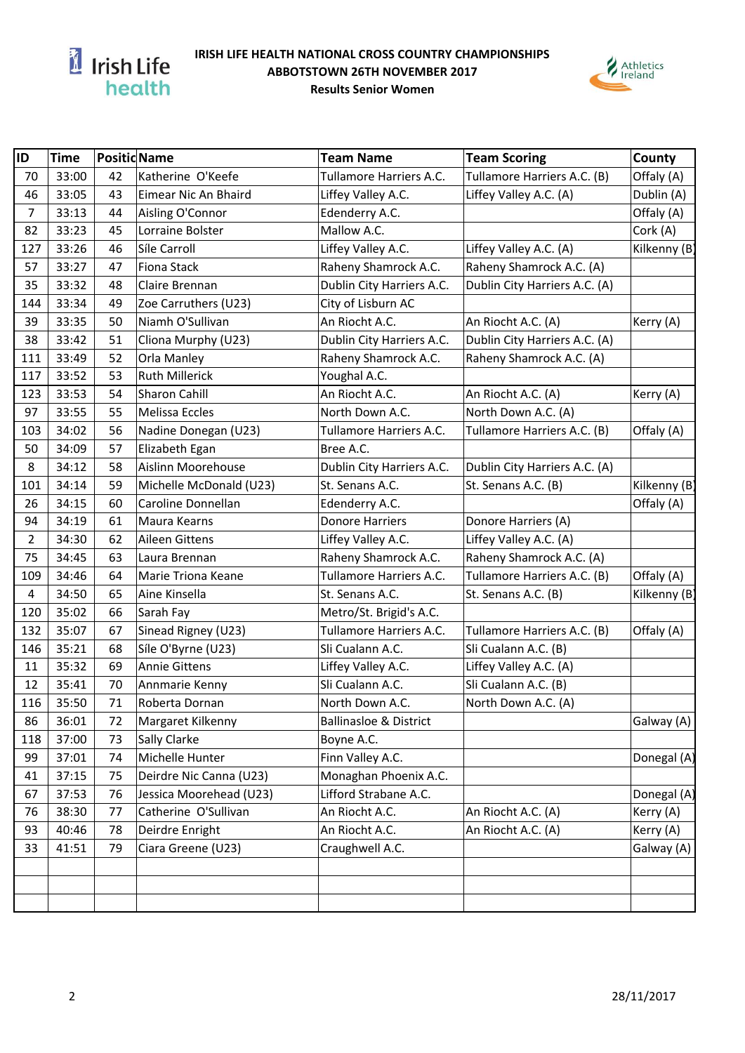

## **IRISH LIFE HEALTH NATIONAL CROSS COUNTRY CHAMPIONSHIPS ABBOTSTOWN 26TH NOVEMBER 2017 Results Senior Women**



| ID             | <b>Time</b> |    | <b>Positid Name</b>     | <b>Team Name</b>                  | <b>Team Scoring</b>           | County       |
|----------------|-------------|----|-------------------------|-----------------------------------|-------------------------------|--------------|
| 70             | 33:00       | 42 | Katherine O'Keefe       | Tullamore Harriers A.C.           | Tullamore Harriers A.C. (B)   | Offaly (A)   |
| 46             | 33:05       | 43 | Eimear Nic An Bhaird    | Liffey Valley A.C.                | Liffey Valley A.C. (A)        | Dublin (A)   |
| $\overline{7}$ | 33:13       | 44 | Aisling O'Connor        | Edenderry A.C.                    |                               | Offaly (A)   |
| 82             | 33:23       | 45 | Lorraine Bolster        | Mallow A.C.                       |                               | Cork (A)     |
| 127            | 33:26       | 46 | Síle Carroll            | Liffey Valley A.C.                | Liffey Valley A.C. (A)        | Kilkenny (B) |
| 57             | 33:27       | 47 | Fiona Stack             | Raheny Shamrock A.C.              | Raheny Shamrock A.C. (A)      |              |
| 35             | 33:32       | 48 | Claire Brennan          | Dublin City Harriers A.C.         | Dublin City Harriers A.C. (A) |              |
| 144            | 33:34       | 49 | Zoe Carruthers (U23)    | City of Lisburn AC                |                               |              |
| 39             | 33:35       | 50 | Niamh O'Sullivan        | An Riocht A.C.                    | An Riocht A.C. (A)            | Kerry (A)    |
| 38             | 33:42       | 51 | Cliona Murphy (U23)     | Dublin City Harriers A.C.         | Dublin City Harriers A.C. (A) |              |
| 111            | 33:49       | 52 | Orla Manley             | Raheny Shamrock A.C.              | Raheny Shamrock A.C. (A)      |              |
| 117            | 33:52       | 53 | <b>Ruth Millerick</b>   | Youghal A.C.                      |                               |              |
| 123            | 33:53       | 54 | Sharon Cahill           | An Riocht A.C.                    | An Riocht A.C. (A)            | Kerry (A)    |
| 97             | 33:55       | 55 | Melissa Eccles          | North Down A.C.                   | North Down A.C. (A)           |              |
| 103            | 34:02       | 56 | Nadine Donegan (U23)    | Tullamore Harriers A.C.           | Tullamore Harriers A.C. (B)   | Offaly (A)   |
| 50             | 34:09       | 57 | Elizabeth Egan          | Bree A.C.                         |                               |              |
| 8              | 34:12       | 58 | Aislinn Moorehouse      | Dublin City Harriers A.C.         | Dublin City Harriers A.C. (A) |              |
| 101            | 34:14       | 59 | Michelle McDonald (U23) | St. Senans A.C.                   | St. Senans A.C. (B)           | Kilkenny (B) |
| 26             | 34:15       | 60 | Caroline Donnellan      | Edenderry A.C.                    |                               | Offaly (A)   |
| 94             | 34:19       | 61 | Maura Kearns            | Donore Harriers                   | Donore Harriers (A)           |              |
| $\overline{2}$ | 34:30       | 62 | Aileen Gittens          | Liffey Valley A.C.                | Liffey Valley A.C. (A)        |              |
| 75             | 34:45       | 63 | Laura Brennan           | Raheny Shamrock A.C.              | Raheny Shamrock A.C. (A)      |              |
| 109            | 34:46       | 64 | Marie Triona Keane      | Tullamore Harriers A.C.           | Tullamore Harriers A.C. (B)   | Offaly (A)   |
| 4              | 34:50       | 65 | Aine Kinsella           | St. Senans A.C.                   | St. Senans A.C. (B)           | Kilkenny (B) |
| 120            | 35:02       | 66 | Sarah Fay               | Metro/St. Brigid's A.C.           |                               |              |
| 132            | 35:07       | 67 | Sinead Rigney (U23)     | Tullamore Harriers A.C.           | Tullamore Harriers A.C. (B)   | Offaly (A)   |
| 146            | 35:21       | 68 | Síle O'Byrne (U23)      | Sli Cualann A.C.                  | Sli Cualann A.C. (B)          |              |
| 11             | 35:32       | 69 | <b>Annie Gittens</b>    | Liffey Valley A.C.                | Liffey Valley A.C. (A)        |              |
| 12             | 35:41       | 70 | Annmarie Kenny          | Sli Cualann A.C.                  | Sli Cualann A.C. (B)          |              |
| 116            | 35:50       | 71 | Roberta Dornan          | North Down A.C.                   | North Down A.C. (A)           |              |
| 86             | 36:01       | 72 | Margaret Kilkenny       | <b>Ballinasloe &amp; District</b> |                               | Galway (A)   |
| 118            | 37:00       | 73 | Sally Clarke            | Boyne A.C.                        |                               |              |
| 99             | 37:01       | 74 | Michelle Hunter         | Finn Valley A.C.                  |                               | Donegal (A)  |
| 41             | 37:15       | 75 | Deirdre Nic Canna (U23) | Monaghan Phoenix A.C.             |                               |              |
| 67             | 37:53       | 76 | Jessica Moorehead (U23) | Lifford Strabane A.C.             |                               | Donegal (A)  |
| 76             | 38:30       | 77 | Catherine O'Sullivan    | An Riocht A.C.                    | An Riocht A.C. (A)            | Kerry (A)    |
| 93             | 40:46       | 78 | Deirdre Enright         | An Riocht A.C.                    | An Riocht A.C. (A)            | Kerry (A)    |
| 33             | 41:51       | 79 | Ciara Greene (U23)      | Craughwell A.C.                   |                               | Galway (A)   |
|                |             |    |                         |                                   |                               |              |
|                |             |    |                         |                                   |                               |              |